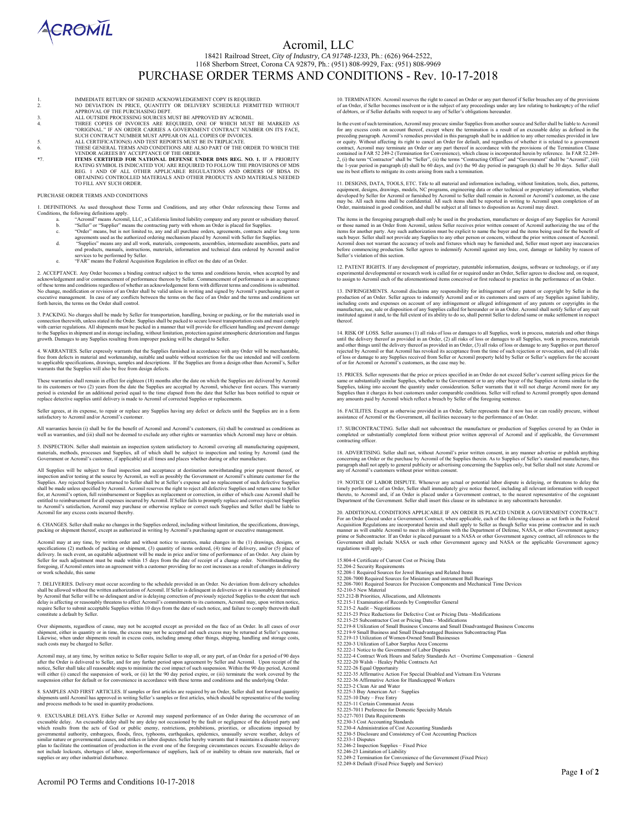

### Acromil, LLC

18421 Railroad Street, *City of Industry, CA 91748-1233,* Ph.: (626) 964-2522, 1168 Sherborn Street, Corona CA 92879, Ph.: (951) 808-9929, Fax: (951) 808-9969

# PURCHASE ORDER TERMS AND CONDITIONS - Rev. 10-17-2018

- 1. IMMEDIATE RETURN OF SIGNED ACKNOWLEDGEMENT COPY IS REQUIRED.<br>2. NO DEVIATION IN PRICE. OUANTITY OR DELIVERY SCHEDULE PERMIT
- 2. NO DEVIATION IN PRICE, QUANTITY OR DELIVERY SCHEDULE PERMITTED WITHOUT
- APPROVAL OF THE PURCHASING DEPT.<br>3. ALL OUTSIDE PROCESSING SOURCES MUST BE APPROVED BY ACROMIL.<br>4. THREE COPIES OF INVOICES ARE REQUIRED, ONE OF WHICH MUST BE MARKED AS<br>"ORIGINAL." IF AN ORDER CARRIES A GOVERNMENT CONTRACT
- 5. ALL CERTIFICATION(S) AND TEST REPORTS MUST BE IN TRIPLICATE.
- 
- 6. THESE GENERAL TERMS AND CONDITIONS ARE ALSO PART OF THE ORDER TO WHICH THE VENDOR AGREES BY ACCEPTANCE OF THE ORDER.<br>F. TEMS CERTIFIED FOR NATIONAL DEFENSE UNDER DMS REG. NO. 1. IF A PRIORITY<br>RATING SYMBOL IS INDICATED OBTAINING CONTROLLED MATERIALS AND OTHER PRODUCTS AND MATERIALS NEEDED TO FILL ANY SUCH ORDER.

#### PURCHASE ORDER TERMS AND CONDITIONS

1. DEFINITIONS. As used throughout these Terms and Conditions, and any other Order referencing these Terms and

- 
- 
- Conditions, the following definitions apply.<br>
and the following definitions apply.<br>
and the contracting party with whom an Order is placed for Supplies.<br>
b. "Seller" or "Supplier" means the contracting party with whom an O e. The Federal Acquisition Regulation is morthanon and technical data of<br>services to be performed by Seller.<br>"FAR" means the Federal Acquisition Regulation in effect on the date of an Order
	-

2. ACCEPTANCE. Any Order becomes a binding contract subject to the terms and conditions herein, when accepted by and acknowledgement and/or commencement of performance thereon by Seller. Commencement of performance is an acceptance<br>of these terms and conditions regardless of whether an acknowledgement form with different terms and condit forth herein, the terms on the Order shall control.

3. PACKING. No charges shall be made by Seller for transportation, handling, boxing or packing, or for the materials used in the connection therewise tasted in the Order. Supplies shall be packed to secure lowest transport

4. WARRANTIES. Seller expressly warrants that the Supplies furnished in accordance with any Order will be merchantable,<br>free from defects in material and workmanship, suitable and usable without restriction for the use int

These warranties shall remain in effect for eighteen (18) months after the date on which the Supplies are delivered by Acromil<br>to its customers or two (2) years from the date the Supplies are accepted by Acromil, whichever

Seller agrees, at its expense, to repair or replace any Supplies having any defect or defects until the Supplies are in a form satisfactory to Acromil and/or Acromil's customer.

All warranties herein (i) shall be for the benefit of Acromil and Acromil's customers, (ii) shall be construed as conditions as<br>well as warranties, and (iii) shall not be deemed to exclude any other rights or warranties wh

5. INSPECTION. Seller shall maintain an inspection system satisfactory to Acromil covering all manufacturing equipment,<br>materials, methods, processes and Supplies, all of which shall be subject to inspection and testing by

 All Supplies will be subject to final inspection and acceptance at destination notwithstanding prior payment thereof, or inspection and/or testing at the source by Acromil, as well as possibly the Government or Acromil's ultimate customer for the Supplies. Any rejected Supplies returned to Seller shall be at Seller's expanse and no replaceme Acromil for any excess costs incurred thereby.

6. CHANGES. Seller shall make no changes in the Supplies ordered, including without limitation, the specifications, drawings, packing or shipment thereof, except as authorized in writing by Acromil's purchasing agent or executive m<br>packing or shipment thereof, except as authorized in writing by Acromil's purchasing agent or executive m

Acromil may at any time, by written order and without notice to sureties, make changes in the (1) drawings, designs, or specifications (2) methods of packing or shipment, (3) quantity of items ordered, (4) time of delivery, and/or (5) place of<br>delivery. In such event, an equitable adjustment will be made in price and/or time of performance or work schedule, this same

7. DELIVERIES. Delivery must occur according to the schedule provided in an Order. No deviation from delivery schedules<br>shall be allowed without the written authorization of Acromil. If Seller is delinquent in deliveries o require Seller to submit acceptable Supplies within 10 days from the date of such notice, and failure to comply therewith shall constitute a default by Seller.

Over shipments, regardless of cause, may not be accepted except as provided on the face of an Order. In all cases of over<br>shipment, either in quantity or in time, the excess may not be accepted and such excess may be retur such costs may be charged to Seller.

Acromil may, at any time, by written notice to Seller require Seller to stop all, or any part, of an Order for a period of 90 days<br>after the Order is delivered to Seller, and for any further period upon agreement by Seller

8. SAMPLES AND FIRST ARTICLES. If samples or first articles are required by an Order, Seller shall not forward quantity<br>shipments until Acromil has approved in writing Seller's samples or first articles, which should be re

9. EXCUSABLE DELAYS. Either Seller or Acromil may suspend performance of an Order during the occurrence of an<br>excussible delay. An excussible delay shall be any delay not occasioned by the fault or negligence of the delaye plan to facilitate the continuation of production in the event one of the foregoing circumstances occurs. Excusable delays do<br>not include lockouts, shortages of labor, nonperformance of suppliers, lack of or inability to o 10. TERMINATION. Acromil reserves the right to cancel an Order or any part thereof if Seller breaches any of the provisions of an Order, if Seller becomes insolvent or is the subject of any proceedings under any law relating to bankruptcy of the relief of debtors, or if Seller defaults with respect to any of Seller's obligations hereunder.

In the event of such termination, Acromil may procure similar Supplies from another source and Seller shall be liable to Acromil for exerceding paragraph. Acromil 5: emergies provided in this paragraph shall be in addition use its best efforts to mitigate its costs arising from such a termination.

11. DESIGNS, DATA, TOOLS, ETC. Title to all material and information including, without limitation, tools, dies, patterns, equipment, designs, drawings, models, NC programs, engineering data or other technical or proprieta Order, maintained in good condition, and shall be subject at all times to disposition as Acromil may direct.

The items in the foregoing paragraphs hall only be used in the production, mantifacture or design of any Supplies for Acromil<br>The items in the foregoing paragraphs hall only be used in the production, mantifacture or desig

12. PATENT RIGHTS. If any development of proprietary, patentable information, designs, software or technology, or if any<br>experimental developmental or research work is called for or required under an Order, Seller agrees t to assign to Acromil each of the aforementioned items conceived or first reduced to practice in the performance of an Order.

13. INFRINGEMENTS. Acromil disclaims any responsibility for infringement of any patent or copyright by Seller in the production of an Order. Seller sets to indemnify Acromil and or its customers and users of any Supplies a

14. RISK OF LOSS. Seller assumes (1) all risks of loss or damages to all Supplies, work in process, materials and other things until the delivery thereof as provided in an Order, (2) all risks of loss or damage to all Supp

15. PRICES. Seller represents that the price or prices specified in an Order do not exceed Seller's current selling prices for the same or substantially similar Supplies, whether to the Government or to any other buyer of

16. FACILITES. Except as otherwise provided in an Order, Seller represents that it now has or can readily procure, without assistance of Acromil or the Government, all facilities necessary to the performance of an Order.

17. SUBCONTRACTING. Seller shall not subcontract the manufacture or production of Supplies covered by an Order in<br>completed or substantially completed form without prior written approval of Acromil and if applicable, the G contracting officer.

18. ADVERTISING. Seller shall not, without Acromil's prior written consent, in any manner advertise or publish anything concerning an Order or the purchase by Acromil of the Supplies therein. As to Supplies of Seller's sta

19. NOTICE OF LABOR DISPUTE. Whenever any actual or potential labor dispute is delaying, or threatens to delay the timely performance of an Order, Seller shall immediately give notice thereof, including all relevant inform

20. ADDITIONAL CONDITIONS APPLICABLE IF AN ORDER IS PLACED UNDER A GOVERNMENT CONTRACT. For an Order placed under a Government Contract, where applicable, each of the following clauses as set forth in the Federal<br>Acquisition Regulations are incorporated herein and shall apply to Seller as though Seller was pr prime or Subcontractor. If an Order is placed pursuant to a NASA or other Government agency contract, all references to the<br>Government shall include NASA or such other Government agency and NASA or the applicable Governmen regulations will apply.

15.804-4 Certificate of Current Cost or Pricing Data 52.204-2 Security Requirements<br>52.208-1 Required Sources for Jewel Bearings and Related Items<br>52.208-7000 Required Sources for Miniature and instrument Ball Bearings<br>52.208-7001 Required Sources for Precision Components an 52.215-1 Examination of Records by Comptroller General 52.215-2 Audit – Negotiations 52.215-23 Price Reductions for Defective Cost or Pricing Data –Modifications 52.215-25 Subcontractor Cost or Pricing Data – Modifications<br>52.219-8 Utilization of Small Business Concerns and Small Disadvantaged Business Concerns<br>52.219-9 Small Business and Small Disadvantaged Business Subcontracting 52.220-3 Utilization of Labor Surplus Area Concerns<br>52.222-1 Notice to the Government of Labor Disputes<br>52.222-4 Contract Work Hours and Safety Standards Act – Overtime Compensation – General<br>52.222-20 Walsh – Healey Publi 52.222-36 Affirmative Action for Handicapped Workers 52.223-2 Clean Air and Water 52.225-3 Buy American Act – Supplies 52.225-10 Duty – Free Entry 52.225-11 Certain Communist Areas 52.225-7011 Preference for Domestic Specialty Metals 52-227-7031 Data Requirements 52.230-3 Cost Accounting Standards 52.230-4 Administration of Cost Accounting Standards 52.230-5 Disclosure and Consistency of Cost Accounting Practices 52.233-1 Disputes 52.246-2 Inspection Supplies – Fixed Price 52.246-23 Limitation of Liability 52.249-2 Termination for Convenience of the Government (Fixed Price) 52.249-8 Default (Fixed Price Supply and Service)